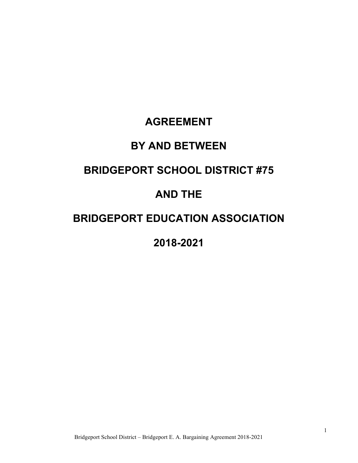# **AGREEMENT**

# **BY AND BETWEEN**

# **BRIDGEPORT SCHOOL DISTRICT #75**

# **AND THE**

# **BRIDGEPORT EDUCATION ASSOCIATION**

# **2018-2021**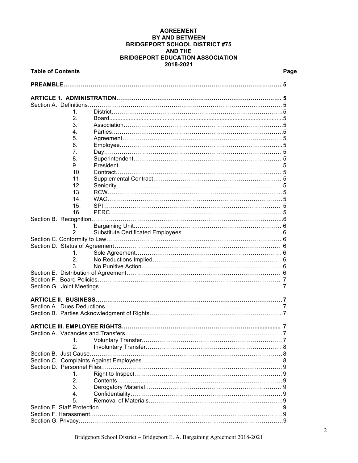#### **AGREEMENT BY AND BETWEEN BRIDGEPORT SCHOOL DISTRICT #75 AND THE BRIDGEPORT EDUCATION ASSOCIATION 2018-2021**

| <b>Table of Contents</b> |                 |                                                         | Page |
|--------------------------|-----------------|---------------------------------------------------------|------|
| PREAMBLE                 |                 |                                                         |      |
|                          |                 |                                                         |      |
|                          |                 |                                                         |      |
|                          | 1.              |                                                         |      |
|                          | 2.              |                                                         |      |
|                          | 3.              |                                                         |      |
|                          | 4.              |                                                         |      |
|                          |                 |                                                         |      |
|                          | 5.              |                                                         |      |
|                          | 6.              |                                                         |      |
|                          | 7.              |                                                         |      |
|                          | 8.              |                                                         |      |
|                          | 9.              |                                                         |      |
|                          | 10 <sub>1</sub> |                                                         |      |
|                          | 11.             |                                                         |      |
|                          | 12.             |                                                         |      |
|                          | 13.             |                                                         |      |
|                          | 14 <sub>1</sub> |                                                         |      |
|                          | 15.             |                                                         |      |
|                          | 16.             |                                                         |      |
|                          |                 |                                                         |      |
|                          | 1.              |                                                         |      |
|                          | 2.              |                                                         |      |
|                          |                 |                                                         |      |
|                          |                 |                                                         |      |
|                          | 1.              |                                                         |      |
|                          | 2.              |                                                         |      |
|                          | 3.              |                                                         |      |
|                          |                 |                                                         |      |
|                          |                 |                                                         |      |
|                          |                 |                                                         |      |
|                          |                 | ARTICLE II.  BUSINESS………………………………………………………………………………………7 |      |
|                          |                 |                                                         |      |
|                          |                 |                                                         |      |
|                          |                 |                                                         |      |
|                          |                 |                                                         |      |
|                          |                 |                                                         |      |
|                          | 1.              |                                                         |      |
|                          | 2.              |                                                         |      |
|                          |                 |                                                         |      |
|                          |                 |                                                         |      |
|                          |                 |                                                         |      |
|                          | 1.              |                                                         |      |
|                          | 2.              |                                                         |      |
|                          | 3.              |                                                         |      |
|                          | 4.              |                                                         |      |
|                          | 5.              |                                                         |      |
|                          |                 |                                                         |      |
|                          |                 |                                                         |      |
|                          |                 |                                                         |      |
|                          |                 |                                                         |      |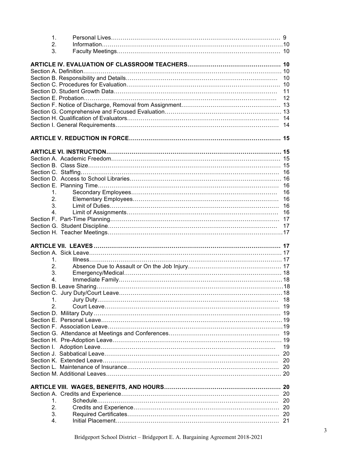| $\mathbf 1$ . |          |
|---------------|----------|
| 2.            |          |
| 3.            |          |
|               |          |
|               |          |
|               |          |
|               |          |
|               | 11       |
|               | 12       |
|               |          |
|               |          |
|               |          |
|               | 14       |
|               |          |
|               |          |
|               |          |
|               |          |
|               |          |
|               |          |
|               |          |
| 1.            | 16<br>16 |
| 2.            | 16       |
| 3.            | 16       |
| 4.            | 16       |
|               |          |
|               | 17       |
|               |          |
|               |          |
|               |          |
|               |          |
|               |          |
| 1.            |          |
| 2.            |          |
| 3.            |          |
| 4.            |          |
|               |          |
|               |          |
| 1.            | 18       |
| 2.            |          |
|               |          |
|               |          |
|               |          |
|               |          |
|               |          |
|               | 19       |
|               | 20       |
|               | 20       |
|               | 20       |
|               |          |
|               |          |
|               |          |
| 1.            | 20       |
| 2.            |          |
| 3.<br>4.      | 20       |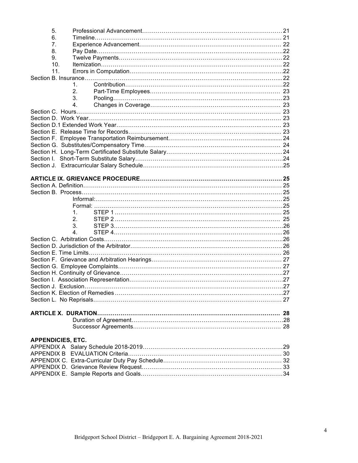| 5.                       |         |  |
|--------------------------|---------|--|
| 6.                       |         |  |
| 7.                       |         |  |
| 8.                       |         |  |
| 9.                       |         |  |
| 10.                      |         |  |
| 11.                      |         |  |
|                          | 1.      |  |
|                          | 2.      |  |
|                          | 3.      |  |
|                          | 4.      |  |
|                          |         |  |
|                          |         |  |
|                          |         |  |
|                          |         |  |
|                          |         |  |
|                          |         |  |
|                          |         |  |
|                          |         |  |
|                          |         |  |
|                          |         |  |
|                          |         |  |
|                          |         |  |
|                          |         |  |
|                          |         |  |
|                          |         |  |
|                          | 1.      |  |
|                          | 2.      |  |
|                          | 3.      |  |
|                          | $4_{-}$ |  |
|                          |         |  |
|                          |         |  |
|                          |         |  |
|                          |         |  |
|                          |         |  |
|                          |         |  |
|                          |         |  |
|                          |         |  |
|                          |         |  |
|                          |         |  |
|                          |         |  |
|                          |         |  |
|                          |         |  |
|                          |         |  |
|                          |         |  |
| <b>APPENDICIES, ETC.</b> |         |  |
|                          |         |  |
|                          |         |  |
|                          |         |  |
|                          |         |  |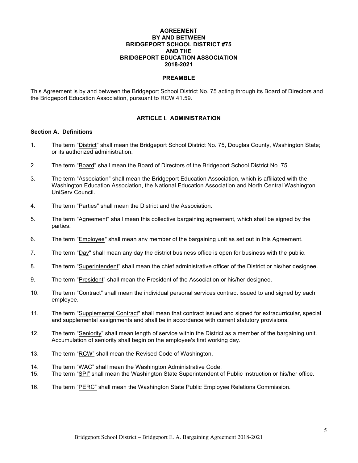#### **AGREEMENT BY AND BETWEEN BRIDGEPORT SCHOOL DISTRICT #75 AND THE BRIDGEPORT EDUCATION ASSOCIATION 2018-2021**

#### **PREAMBLE**

This Agreement is by and between the Bridgeport School District No. 75 acting through its Board of Directors and the Bridgeport Education Association, pursuant to RCW 41.59.

#### **ARTICLE I. ADMINISTRATION**

#### **Section A. Definitions**

- 1. The term "District" shall mean the Bridgeport School District No. 75, Douglas County, Washington State; or its authorized administration.
- 2. The term "Board" shall mean the Board of Directors of the Bridgeport School District No. 75.
- 3. The term "Association" shall mean the Bridgeport Education Association, which is affiliated with the Washington Education Association, the National Education Association and North Central Washington UniServ Council.
- 4. The term "Parties" shall mean the District and the Association.
- 5. The term "Agreement" shall mean this collective bargaining agreement, which shall be signed by the parties.
- 6. The term "Employee" shall mean any member of the bargaining unit as set out in this Agreement.
- 7. The term "Day" shall mean any day the district business office is open for business with the public.
- 8. The term "Superintendent" shall mean the chief administrative officer of the District or his/her designee.
- 9. The term "President" shall mean the President of the Association or his/her designee.
- 10. The term "Contract" shall mean the individual personal services contract issued to and signed by each employee.
- 11. The term "Supplemental Contract" shall mean that contract issued and signed for extracurricular, special and supplemental assignments and shall be in accordance with current statutory provisions.
- 12. The term "Seniority" shall mean length of service within the District as a member of the bargaining unit. Accumulation of seniority shall begin on the employee's first working day.
- 13. The term "RCW" shall mean the Revised Code of Washington.
- 14. The term "WAC" shall mean the Washington Administrative Code.
- 15. The term "SPI" shall mean the Washington State Superintendent of Public Instruction or his/her office.
- 16. The term "PERC" shall mean the Washington State Public Employee Relations Commission.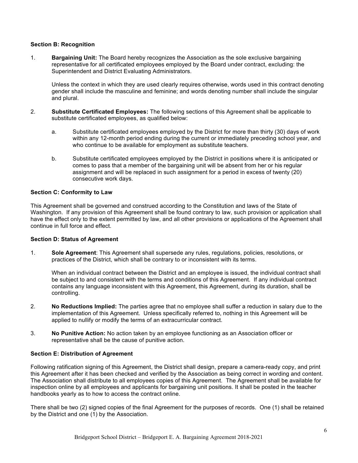#### **Section B: Recognition**

1. **Bargaining Unit:** The Board hereby recognizes the Association as the sole exclusive bargaining representative for all certificated employees employed by the Board under contract, excluding: the Superintendent and District Evaluating Administrators.

Unless the context in which they are used clearly requires otherwise, words used in this contract denoting gender shall include the masculine and feminine; and words denoting number shall include the singular and plural.

- 2. **Substitute Certificated Employees:** The following sections of this Agreement shall be applicable to substitute certificated employees, as qualified below:
	- a. Substitute certificated employees employed by the District for more than thirty (30) days of work within any 12-month period ending during the current or immediately preceding school year, and who continue to be available for employment as substitute teachers.
	- b. Substitute certificated employees employed by the District in positions where it is anticipated or comes to pass that a member of the bargaining unit will be absent from her or his regular assignment and will be replaced in such assignment for a period in excess of twenty (20) consecutive work days.

#### **Section C: Conformity to Law**

This Agreement shall be governed and construed according to the Constitution and laws of the State of Washington. If any provision of this Agreement shall be found contrary to law, such provision or application shall have the effect only to the extent permitted by law, and all other provisions or applications of the Agreement shall continue in full force and effect.

#### **Section D: Status of Agreement**

1. **Sole Agreement**: This Agreement shall supersede any rules, regulations, policies, resolutions, or practices of the District, which shall be contrary to or inconsistent with its terms.

When an individual contract between the District and an employee is issued, the individual contract shall be subject to and consistent with the terms and conditions of this Agreement. If any individual contract contains any language inconsistent with this Agreement, this Agreement, during its duration, shall be controlling.

- 2. **No Reductions Implied:** The parties agree that no employee shall suffer a reduction in salary due to the implementation of this Agreement. Unless specifically referred to, nothing in this Agreement will be applied to nullify or modify the terms of an extracurricular contract.
- 3. **No Punitive Action:** No action taken by an employee functioning as an Association officer or representative shall be the cause of punitive action.

## **Section E: Distribution of Agreement**

Following ratification signing of this Agreement, the District shall design, prepare a camera-ready copy, and print this Agreement after it has been checked and verified by the Association as being correct in wording and content. The Association shall distribute to all employees copies of this Agreement. The Agreement shall be available for inspection online by all employees and applicants for bargaining unit positions. It shall be posted in the teacher handbooks yearly as to how to access the contract online.

There shall be two (2) signed copies of the final Agreement for the purposes of records. One (1) shall be retained by the District and one (1) by the Association.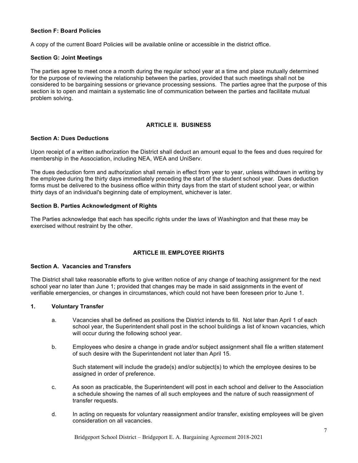#### **Section F: Board Policies**

A copy of the current Board Policies will be available online or accessible in the district office.

#### **Section G: Joint Meetings**

The parties agree to meet once a month during the regular school year at a time and place mutually determined for the purpose of reviewing the relationship between the parties, provided that such meetings shall not be considered to be bargaining sessions or grievance processing sessions. The parties agree that the purpose of this section is to open and maintain a systematic line of communication between the parties and facilitate mutual problem solving.

## **ARTICLE II. BUSINESS**

### **Section A: Dues Deductions**

Upon receipt of a written authorization the District shall deduct an amount equal to the fees and dues required for membership in the Association, including NEA, WEA and UniServ.

The dues deduction form and authorization shall remain in effect from year to year, unless withdrawn in writing by the employee during the thirty days immediately preceding the start of the student school year. Dues deduction forms must be delivered to the business office within thirty days from the start of student school year, or within thirty days of an individual's beginning date of employment, whichever is later.

#### **Section B. Parties Acknowledgment of Rights**

The Parties acknowledge that each has specific rights under the laws of Washington and that these may be exercised without restraint by the other.

# **ARTICLE III. EMPLOYEE RIGHTS**

#### **Section A. Vacancies and Transfers**

The District shall take reasonable efforts to give written notice of any change of teaching assignment for the next school year no later than June 1; provided that changes may be made in said assignments in the event of verifiable emergencies, or changes in circumstances, which could not have been foreseen prior to June 1.

#### **1. Voluntary Transfer**

- a. Vacancies shall be defined as positions the District intends to fill. Not later than April 1 of each school year, the Superintendent shall post in the school buildings a list of known vacancies, which will occur during the following school year.
- b. Employees who desire a change in grade and/or subject assignment shall file a written statement of such desire with the Superintendent not later than April 15.

Such statement will include the grade(s) and/or subject(s) to which the employee desires to be assigned in order of preference.

- c. As soon as practicable, the Superintendent will post in each school and deliver to the Association a schedule showing the names of all such employees and the nature of such reassignment of transfer requests.
- d. In acting on requests for voluntary reassignment and/or transfer, existing employees will be given consideration on all vacancies.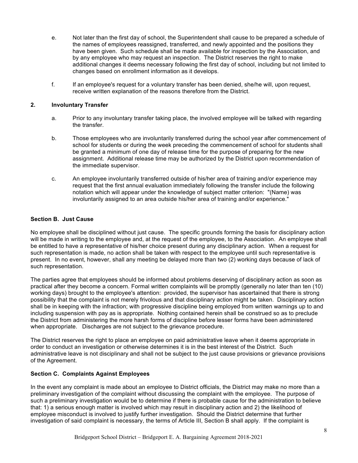- e. Not later than the first day of school, the Superintendent shall cause to be prepared a schedule of the names of employees reassigned, transferred, and newly appointed and the positions they have been given. Such schedule shall be made available for inspection by the Association, and by any employee who may request an inspection. The District reserves the right to make additional changes it deems necessary following the first day of school, including but not limited to changes based on enrollment information as it develops.
- f. If an employee's request for a voluntary transfer has been denied, she/he will, upon request, receive written explanation of the reasons therefore from the District.

#### **2. Involuntary Transfer**

- a. Prior to any involuntary transfer taking place, the involved employee will be talked with regarding the transfer.
- b. Those employees who are involuntarily transferred during the school year after commencement of school for students or during the week preceding the commencement of school for students shall be granted a minimum of one day of release time for the purpose of preparing for the new assignment. Additional release time may be authorized by the District upon recommendation of the immediate supervisor.
- c. An employee involuntarily transferred outside of his/her area of training and/or experience may request that the first annual evaluation immediately following the transfer include the following notation which will appear under the knowledge of subject matter criterion: "(Name) was involuntarily assigned to an area outside his/her area of training and/or experience."

#### **Section B. Just Cause**

No employee shall be disciplined without just cause. The specific grounds forming the basis for disciplinary action will be made in writing to the employee and, at the request of the employee, to the Association. An employee shall be entitled to have a representative of his/her choice present during any disciplinary action. When a request for such representation is made, no action shall be taken with respect to the employee until such representative is present. In no event, however, shall any meeting be delayed more than two (2) working days because of lack of such representation.

The parties agree that employees should be informed about problems deserving of disciplinary action as soon as practical after they become a concern. Formal written complaints will be promptly (generally no later than ten (10) working days) brought to the employee's attention: provided, the supervisor has ascertained that there is strong possibility that the complaint is not merely frivolous and that disciplinary action might be taken. Disciplinary action shall be in keeping with the infraction; with progressive discipline being employed from written warnings up to and including suspension with pay as is appropriate. Nothing contained herein shall be construed so as to preclude the District from administering the more harsh forms of discipline before lesser forms have been administered when appropriate. Discharges are not subject to the grievance procedure.

The District reserves the right to place an employee on paid administrative leave when it deems appropriate in order to conduct an investigation or otherwise determines it is in the best interest of the District. Such administrative leave is not disciplinary and shall not be subject to the just cause provisions or grievance provisions of the Agreement.

#### **Section C. Complaints Against Employees**

In the event any complaint is made about an employee to District officials, the District may make no more than a preliminary investigation of the complaint without discussing the complaint with the employee. The purpose of such a preliminary investigation would be to determine if there is probable cause for the administration to believe that: 1) a serious enough matter is involved which may result in disciplinary action and 2) the likelihood of employee misconduct is involved to justify further investigation. Should the District determine that further investigation of said complaint is necessary, the terms of Article III, Section B shall apply. If the complaint is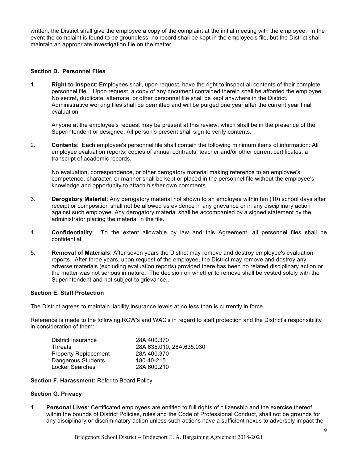written, the District shall give the employee a copy of the complaint at the initial meeting with the employee. In the event the complaint is found to be groundless, no record shall be kept in the employee's file, but the District shall maintain an appropriate investigation file on the matter.

#### **Section D. Personnel Files**

1. **Right to Inspect**: Employees shall, upon request, have the right to inspect all contents of their complete personnel file . Upon request, a copy of any document contained therein shall be afforded the employee. No secret, duplicate, alternate, or other personnel file shall be kept anywhere in the District. Administrative working files shall be permitted and will be purged one year after the current year final evaluation.

Anyone at the employee's request may be present at this review, which shall be in the presence of the Superintendent or designee. All person's present shall sign to verify contents.

2. **Contents**: Each employee's personnel file shall contain the following minimum items of information: All employee evaluation reports, copies of annual contracts, teacher and/or other current certificates, a transcript of academic records.

No evaluation, correspondence, or other derogatory material making reference to an employee's competence, character, or manner shall be kept or placed in the personnel file without the employee's knowledge and opportunity to attach his/her own comments.

- 3. **Derogatory Material**: Any derogatory material not shown to an employee within ten (10) school days after receipt or composition shall not be allowed as evidence in any grievance or in any disciplinary action against such employee. Any derogatory material shall be accompanied by a signed statement by the administrator placing the material in the file.
- 4. **Confidentiality**: To the extent allowable by law and this Agreement, all personnel files shall be confidential.
- 5. **Removal of Materials**: After seven years the District may remove and destroy employee's evaluation reports. After three years, upon request of the employee, the District may remove and destroy any adverse materials (excluding evaluation reports) provided there has been no related disciplinary action or the matter was not serious in nature. The decision on whether to remove shall be vested solely with the Superintendent and not subject to grievance..

#### **Section E. Staff Protection**

The District agrees to maintain liability insurance levels at no less than is currently in force.

Reference is made to the following RCW's and WAC's in regard to staff protection and the District's responsibility in consideration of them:

| District Insurance          | 28A.400.370              |
|-----------------------------|--------------------------|
| <b>Threats</b>              | 28A.635.010, 28A.635.030 |
| <b>Property Replacement</b> | 28A.400.370              |
| Dangerous Students          | 180-40-215               |
| <b>Locker Searches</b>      | 28A.600.210              |

#### **Section F. Harassment:** Refer to Board Policy

#### **Section G. Privacy**

1. **Personal Lives**: Certificated employees are entitled to full rights of citizenship and the exercise thereof, within the bounds of District Policies, rules and the Code of Professional Conduct, shall not be grounds for any disciplinary or discriminatory action unless such actions have a sufficient nexus to adversely impact the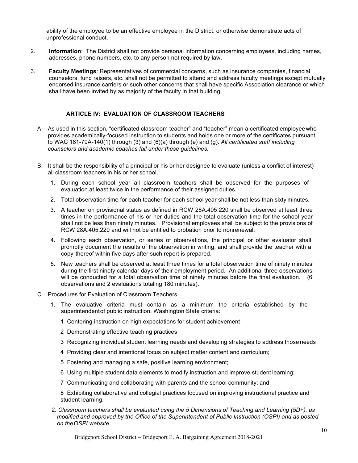ability of the employee to be an effective employee in the District, or otherwise demonstrate acts of unprofessional conduct.

- 2. **Information**: The District shall not provide personal information concerning employees, including names, addresses, phone numbers, etc. to any person not required by law.
- 3. **Faculty Meetings**: Representatives of commercial concerns, such as insurance companies, financial counselors, fund raisers, etc. shall not be permitted to attend and address faculty meetings except mutually endorsed insurance carriers or such other concerns that shall have specific Association clearance or which shall have been invited by as majority of the faculty in that building.

## **ARTICLE IV: EVALUATION OF CLASSROOM TEACHERS**

- A. As used in this section, "certificated classroom teacher" and "teacher" mean a certificated employeewho provides academically-focused instruction to students and holds one or more of the certificates pursuant to WAC 181-79A-140(1) through (3) and (6)(a) through (e) and (g). *All certificated staff including counselors and academic coaches fall under these guidelines.*
- B. It shall be the responsibility of a principal or his or her designee to evaluate (unless a conflict of interest) all classroom teachers in his or her school.
	- 1. During each school year all classroom teachers shall be observed for the purposes of evaluation at least twice in the performance of their assigned duties.
	- 2. Total observation time for each teacher for each school year shall be not less than sixty minutes.
	- 3. A teacher on provisional status as defined in RCW 28A.405.220 shall be observed at least three times in the performance of his or her duties and the total observation time for the school year shall not be less than ninety minutes. Provisional employees shall be subject to the provisions of RCW 28A.405.220 and will not be entitled to probation prior to nonrenewal.
	- 4. Following each observation, or series of observations, the principal or other evaluator shall promptly document the results of the observation in writing, and shall provide the teacher with a copy thereof within five days after such report is prepared.
	- 5. New teachers shall be observed at least three times for a total observation time of ninety minutes during the first ninety calendar days of their employment period. An additional three observations will be conducted for a total observation time of ninety minutes before the final evaluation. (6 observations and 2 evaluations totaling 180 minutes).
- C. Procedures for Evaluation of Classroom Teachers
	- 1. The evaluative criteria must contain as a minimum the criteria established by the superintendentof public instruction. Washington State criteria:
		- 1 Centering instruction on high expectations for student achievement
		- 2 Demonstrating effective teaching practices
		- 3 Recognizing individual student learning needs and developing strategies to address those needs
		- 4 Providing clear and intentional focus on subject matter content and curriculum;
		- 5 Fostering and managing a safe, positive learning environment;
		- 6 Using multiple student data elements to modify instruction and improve student learning;
		- 7 Communicating and collaborating with parents and the school community; and

8 Exhibiting collaborative and collegial practices focused on improving instructional practice and student learning.

2. *Classroom teachers shall be evaluated using the 5 Dimensions of Teaching and Learning (5D+), as modified and approved by the Office of the Superintendent of Public Instruction (OSPI) and as posted on theOSPI website.*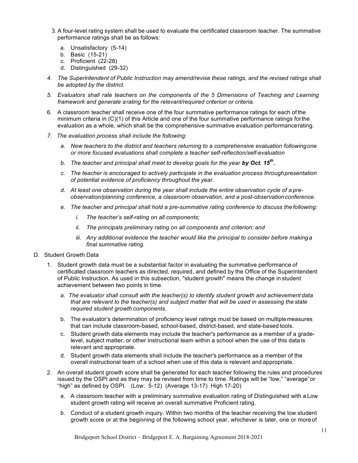- 3. A four-level rating system shall be used to evaluate the certificated classroom teacher. The summative performance ratings shall be as follows:
	- a. Unsatisfactory (5-14)
	- b. Basic (15-21)
	- c. Proficient (22-28)
	- d. Distinguished (29-32)
- *4. The Superintendent of Public Instruction may amend/revise these ratings, and the revised ratings shall be adopted by the district.*
- *5. Evaluators shall rate teachers on the components of the 5 Dimensions of Teaching and Learning framework and generate arating for the relevant/required criterion or criteria.*
- 6. A classroom teacher shall receive one of the four summative performance ratings for each of the minimum criteria in (C)(1) of this Article and one of the four summative performance ratings forthe evaluation as a whole, which shall be the comprehensive summative evaluation performancerating.
- *7. The evaluation process shall include the following:*
	- *a. New teachers to the district and teachers returning to a comprehensive evaluation followingone or more focused evaluations shall complete a teacher self-reflection/self-evaluation*
	- *b.* The teacher and principal shall meet to develop goals for the year by Oct. 15<sup>th</sup>.
	- *c. The teacher is encouraged to actively participate in the evaluation process throughpresentation of potential evidence of proficiency throughout the year.*
	- *d. At least one observation during the year shall include the entire observation cycle of a preobservation/planning conference, a classroom observation, and a post-observationconference.*
	- *e. The teacher and principal shall hold a pre-summative rating conference to discuss the following:*
		- *i. The teacher's self-rating on all components;*
		- *ii. The principals preliminary rating on all components and criterion; and*
		- *iii. Any additional evidence the teacher would like the principal to consider before making a final summative rating.*
- D. Student Growth Data
	- 1. Student growth data must be a substantial factor in evaluating the summative performance of certificated classroom teachers as directed, required, and defined by the Office of the Superintendent of Public Instruction. As used in this subsection, "student growth" means the change in student achievement between two points in time.
		- *a. The evaluator shall consult with the teacher(s) to identify student growth and achievement data that are relevant to the teacher(s) and subject matter that will be used in assessing the state required student growth components.*
		- b. The evaluator's determination of proficiency level ratings must be based on multiplemeasures that can include classroom-based, school-based, district-based, and state-based tools.
		- c. Student growth data elements may include the teacher's performance as a member of a gradelevel, subject matter, or other instructional team within a school when the use of this data is relevant and appropriate.
		- d. Student growth data elements shall include the teacher's performance as a member of the overall instructional team of a school when use of this data is relevant and appropriate.
	- 2. An overall student growth score shall be generated for each teacher following the rules and procedures issued by the OSPI and as they may be revised from time to time. Ratings will be "low," "average"or "high" as defined by OSPI. (Low: 5-12) (Average 13-17) High 17-20)
		- a. A classroom teacher with a preliminary summative evaluation rating of Distinguished with a Low student growth rating will receive an overall summative Proficient rating.
		- b. Conduct of a student growth inquiry. Within two months of the teacher receiving the low student growth score or at the beginning of the following school year, whichever is later, one or moreof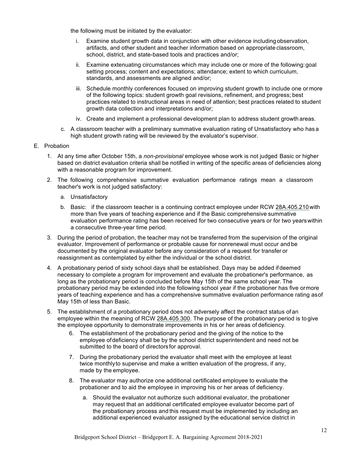the following must be initiated by the evaluator:

- i. Examine student growth data in conjunction with other evidence including observation, artifacts, and other student and teacher information based on appropriate classroom, school, district, and state-based tools and practices and/or;
- ii. Examine extenuating circumstances which may include one or more of the following:goal setting process; content and expectations; attendance; extent to which curriculum, standards, and assessments are aligned and/or;
- iii. Schedule monthly conferences focused on improving student growth to include one or more of the following topics: student growth goal revisions, refinement, and progress; best practices related to instructional areas in need of attention; best practices related to student growth data collection and interpretations and/or;
- iv. Create and implement a professional development plan to address student growth areas.
- c. A classroom teacher with a preliminary summative evaluation rating of Unsatisfactory who has a high student growth rating will be reviewed by the evaluator's supervisor.
- E. Probation
	- 1. At any time after October 15th, a *non-provisional* employee whose work is not judged Basic or higher based on district evaluation criteria shall be notified in writing of the specific areas of deficiencies along with a reasonable program for improvement.
	- 2. The following comprehensive summative evaluation performance ratings mean a classroom teacher's work is not judged satisfactory:
		- a. Unsatisfactory
		- b. Basic: if the classroom teacher is a continuing contract employee under RCW 28A.405.210 with more than five years of teaching experience and if the Basic comprehensive summative evaluation performance rating has been received for two consecutive years or for two yearswithin a consecutive three-year time period.
	- 3. During the period of probation, the teacher may not be transferred from the supervision of the original evaluator. Improvement of performance or probable cause for nonrenewal must occur and be documented by the original evaluator before any consideration of a request for transfer or reassignment as contemplated by either the individual or the school district.
	- 4. A probationary period of sixty school days shall be established. Days may be added if deemed necessary to complete a program for improvement and evaluate the probationer's performance, as long as the probationary period is concluded before May 15th of the same school year. The probationary period may be extended into the following school year if the probationer has five ormore years of teaching experience and has a comprehensive summative evaluation performance rating asof May 15th of less than Basic.
	- 5. The establishment of a probationary period does not adversely affect the contract status of an employee within the meaning of RCW 28A.405.300. The purpose of the probationary period is to give the employee opportunity to demonstrate improvements in his or her areas of deficiency.
		- 6. The establishment of the probationary period and the giving of the notice to the employee ofdeficiency shall be by the school district superintendent and need not be submitted to the board of directors for approval.
		- 7. During the probationary period the evaluator shall meet with the employee at least twice monthlyto supervise and make a written evaluation of the progress, if any, made by the employee.
		- 8. The evaluator may authorize one additional certificated employee to evaluate the probationer and to aid the employee in improving his or her areas of deficiency.
			- a. Should the evaluator not authorize such additional evaluator, the probationer may request that an additional certificated employee evaluator become part of the probationary process and this request must be implemented by including an additional experienced evaluator assigned by the educational service district in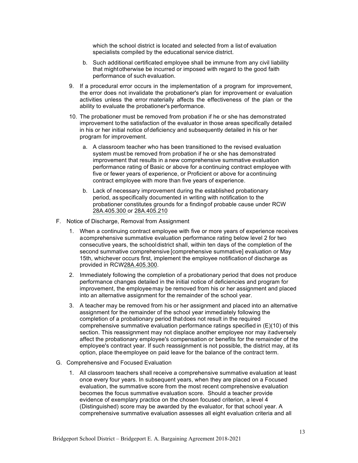which the school district is located and selected from a list of evaluation specialists compiled by the educational service district.

- b. Such additional certificated employee shall be immune from any civil liability that mightotherwise be incurred or imposed with regard to the good faith performance of such evaluation.
- 9. If a procedural error occurs in the implementation of a program for improvement, the error does not invalidate the probationer's plan for improvement or evaluation activities unless the error materially affects the effectiveness of the plan or the ability to evaluate the probationer's performance.
- 10. The probationer must be removed from probation if he or she has demonstrated improvement tothe satisfaction of the evaluator in those areas specifically detailed in his or her initial notice ofdeficiency and subsequently detailed in his or her program for improvement.
	- a. A classroom teacher who has been transitioned to the revised evaluation system must be removed from probation if he or she has demonstrated improvement that results in a new comprehensive summative evaluation performance rating of Basic or above for a continuing contract employee with five or fewer years of experience, or Proficient or above for acontinuing contract employee with more than five years of experience.
	- b. Lack of necessary improvement during the established probationary period, as specifically documented in writing with notification to the probationer constitutes grounds for a findingof probable cause under RCW 28A.405.300 or 28A.405.210
- F. Notice of Discharge, Removal from Assignment
	- 1. When a continuing contract employee with five or more years of experience receives acomprehensive summative evaluation performance rating below level 2 for two consecutive years, the schooldistrict shall, within ten days of the completion of the second summative comprehensive [comprehensive summative] evaluation or May 15th, whichever occurs first, implement the employee notification of discharge as provided in RCW28A.405.300.
	- 2. Immediately following the completion of a probationary period that does not produce performance changes detailed in the initial notice of deficiencies and program for improvement, the employeemay be removed from his or her assignment and placed into an alternative assignment for the remainder of the school year.
	- 3. A teacher may be removed from his or her assignment and placed into an alternative assignment for the remainder of the school year immediately following the completion of a probationary period thatdoes not result in the required comprehensive summative evaluation performance ratings specified in (E)(10) of this section. This reassignment may not displace another employee nor may itadversely affect the probationary employee's compensation or benefits for the remainder of the employee's contract year. If such reassignment is not possible, the district may, at its option, place theemployee on paid leave for the balance of the contract term.
- G. Comprehensive and Focused Evaluation
	- 1. All classroom teachers shall receive a comprehensive summative evaluation at least once every four years. In subsequent years, when they are placed on a Focused evaluation, the summative score from the most recent comprehensive evaluation becomes the focus summative evaluation score. Should a teacher provide evidence of exemplary practice on the chosen focused criterion, a level 4 (Distinguished) score may be awarded by the evaluator, for that school year. A comprehensive summative evaluation assesses all eight evaluation criteria and all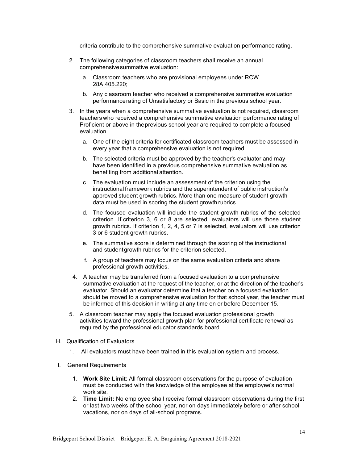criteria contribute to the comprehensive summative evaluation performance rating.

- 2. The following categories of classroom teachers shall receive an annual comprehensivesummative evaluation:
	- a. Classroom teachers who are provisional employees under RCW 28A.405.220;
	- b. Any classroom teacher who received a comprehensive summative evaluation performancerating of Unsatisfactory or Basic in the previous school year.
- 3. In the years when a comprehensive summative evaluation is not required, classroom teachers who received a comprehensive summative evaluation performance rating of Proficient or above in theprevious school year are required to complete a focused evaluation.
	- a. One of the eight criteria for certificated classroom teachers must be assessed in every year that a comprehensive evaluation is not required.
	- b. The selected criteria must be approved by the teacher's evaluator and may have been identified in a previous comprehensive summative evaluation as benefiting from additional attention.
	- c. The evaluation must include an assessment of the criterion using the instructional framework rubrics and the superintendent of public instruction's approved student growth rubrics. More than one measure of student growth data must be used in scoring the student growth rubrics.
	- d. The focused evaluation will include the student growth rubrics of the selected criterion. If criterion 3, 6 or 8 are selected, evaluators will use those student growth rubrics. If criterion 1, 2, 4, 5 or 7 is selected, evaluators will use criterion 3 or 6 student growth rubrics.
	- e. The summative score is determined through the scoring of the instructional and student growth rubrics for the criterion selected.
	- f. A group of teachers may focus on the same evaluation criteria and share professional growth activities.
	- 4. A teacher may be transferred from a focused evaluation to a comprehensive summative evaluation at the request of the teacher, or at the direction of the teacher's evaluator. Should an evaluator determine that a teacher on a focused evaluation should be moved to a comprehensive evaluation for that school year, the teacher must be informed of this decision in writing at any time on or before December 15.
- 5. A classroom teacher may apply the focused evaluation professional growth activities toward the professional growth plan for professional certificate renewal as required by the professional educator standards board.
- H. Qualification of Evaluators
	- 1. All evaluators must have been trained in this evaluation system and process.
- I. General Requirements
	- 1. **Work Site Limit**: All formal classroom observations for the purpose of evaluation must be conducted with the knowledge of the employee at the employee's normal work site.
	- 2. **Time Limit:** No employee shall receive formal classroom observations during the first or last two weeks of the school year, nor on days immediately before or after school vacations, nor on days of all-school programs.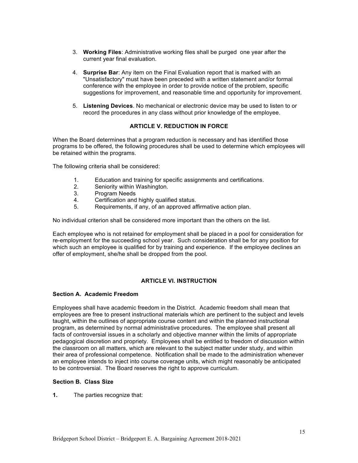- 3. **Working Files**: Administrative working files shall be purged one year after the current year final evaluation.
- 4. **Surprise Bar**: Any item on the Final Evaluation report that is marked with an "Unsatisfactory" must have been preceded with a written statement and/or formal conference with the employee in order to provide notice of the problem, specific suggestions for improvement, and reasonable time and opportunity for improvement.
- 5. **Listening Devices**. No mechanical or electronic device may be used to listen to or record the procedures in any class without prior knowledge of the employee.

### **ARTICLE V. REDUCTION IN FORCE**

When the Board determines that a program reduction is necessary and has identified those programs to be offered, the following procedures shall be used to determine which employees will be retained within the programs.

The following criteria shall be considered:

- 1. Education and training for specific assignments and certifications.
- 2. Seniority within Washington.<br>3. Program Needs
- 3. Program Needs
- 4. Certification and highly qualified status.
- 5. Requirements, if any, of an approved affirmative action plan.

No individual criterion shall be considered more important than the others on the list.

Each employee who is not retained for employment shall be placed in a pool for consideration for re-employment for the succeeding school year. Such consideration shall be for any position for which such an employee is qualified for by training and experience. If the employee declines an offer of employment, she/he shall be dropped from the pool.

#### **ARTICLE VI. INSTRUCTION**

#### **Section A. Academic Freedom**

Employees shall have academic freedom in the District. Academic freedom shall mean that employees are free to present instructional materials which are pertinent to the subject and levels taught, within the outlines of appropriate course content and within the planned instructional program, as determined by normal administrative procedures. The employee shall present all facts of controversial issues in a scholarly and objective manner within the limits of appropriate pedagogical discretion and propriety. Employees shall be entitled to freedom of discussion within the classroom on all matters, which are relevant to the subject matter under study, and within their area of professional competence. Notification shall be made to the administration whenever an employee intends to inject into course coverage units, which might reasonably be anticipated to be controversial. The Board reserves the right to approve curriculum.

#### **Section B. Class Size**

**1.** The parties recognize that: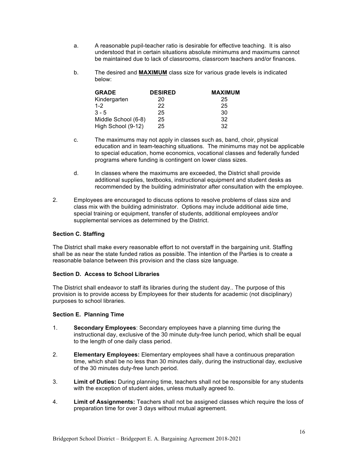- a. A reasonable pupil-teacher ratio is desirable for effective teaching. It is also understood that in certain situations absolute minimums and maximums cannot be maintained due to lack of classrooms, classroom teachers and/or finances.
- b. The desired and **MAXIMUM** class size for various grade levels is indicated below:

| <b>GRADE</b>        | <b>DESIRED</b> | <b>MAXIMUM</b> |
|---------------------|----------------|----------------|
| Kindergarten        | 20             | 25             |
| $1 - 2$             | 22             | 25             |
| $3 - 5$             | 25             | 30             |
| Middle School (6-8) | 25             | 32             |
| High School (9-12)  | 25             | 32             |

- c. The maximums may not apply in classes such as, band, choir, physical education and in team-teaching situations. The minimums may not be applicable to special education, home economics, vocational classes and federally funded programs where funding is contingent on lower class sizes.
- d. In classes where the maximums are exceeded, the District shall provide additional supplies, textbooks, instructional equipment and student desks as recommended by the building administrator after consultation with the employee.
- 2. Employees are encouraged to discuss options to resolve problems of class size and class mix with the building administrator. Options may include additional aide time, special training or equipment, transfer of students, additional employees and/or supplemental services as determined by the District.

#### **Section C. Staffing**

The District shall make every reasonable effort to not overstaff in the bargaining unit. Staffing shall be as near the state funded ratios as possible. The intention of the Parties is to create a reasonable balance between this provision and the class size language.

## **Section D. Access to School Libraries**

The District shall endeavor to staff its libraries during the student day.. The purpose of this provision is to provide access by Employees for their students for academic (not disciplinary) purposes to school libraries.

#### **Section E. Planning Time**

- 1. **Secondary Employees**: Secondary employees have a planning time during the instructional day, exclusive of the 30 minute duty-free lunch period, which shall be equal to the length of one daily class period.
- 2. **Elementary Employees:** Elementary employees shall have a continuous preparation time, which shall be no less than 30 minutes daily, during the instructional day, exclusive of the 30 minutes duty-free lunch period.
- 3. **Limit of Duties:** During planning time, teachers shall not be responsible for any students with the exception of student aides, unless mutually agreed to.
- 4. **Limit of Assignments:** Teachers shall not be assigned classes which require the loss of preparation time for over 3 days without mutual agreement.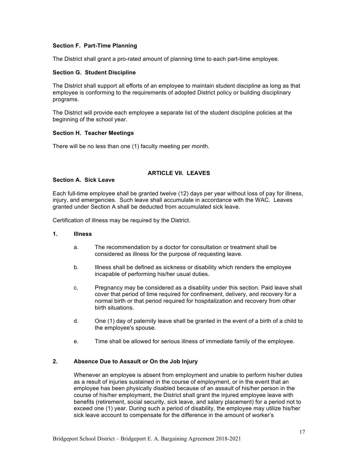### **Section F. Part-Time Planning**

The District shall grant a pro-rated amount of planning time to each part-time employee.

#### **Section G. Student Discipline**

The District shall support all efforts of an employee to maintain student discipline as long as that employee is conforming to the requirements of adopted District policy or building disciplinary programs.

The District will provide each employee a separate list of the student discipline policies at the beginning of the school year.

#### **Section H. Teacher Meetings**

There will be no less than one (1) faculty meeting per month.

# **ARTICLE VII. LEAVES**

#### **Section A. Sick Leave**

Each full-time employee shall be granted twelve (12) days per year without loss of pay for illness, injury, and emergencies. Such leave shall accumulate in accordance with the WAC. Leaves granted under Section A shall be deducted from accumulated sick leave.

Certification of illness may be required by the District.

#### **1. Illness**

- a. The recommendation by a doctor for consultation or treatment shall be considered as illness for the purpose of requesting leave.
- b. Illness shall be defined as sickness or disability which renders the employee incapable of performing his/her usual duties.
- c. Pregnancy may be considered as a disability under this section. Paid leave shall cover that period of time required for confinement, delivery, and recovery for a normal birth or that period required for hospitalization and recovery from other birth situations.
- d. One (1) day of paternity leave shall be granted in the event of a birth of a child to the employee's spouse.
- e. Time shall be allowed for serious illness of immediate family of the employee.

#### **2. Absence Due to Assault or On the Job Injury**

Whenever an employee is absent from employment and unable to perform his/her duties as a result of injuries sustained in the course of employment, or in the event that an employee has been physically disabled because of an assault of his/her person in the course of his/her employment, the District shall grant the injured employee leave with benefits (retirement, social security, sick leave, and salary placement) for a period not to exceed one (1) year. During such a period of disability, the employee may utilize his/her sick leave account to compensate for the difference in the amount of worker's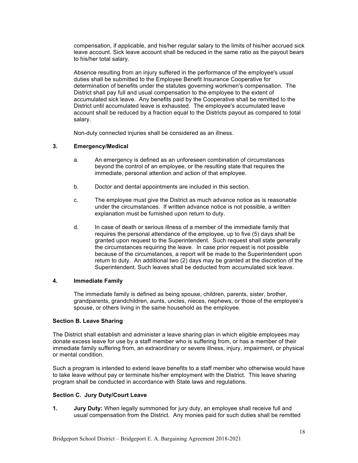compensation, if applicable, and his/her regular salary to the limits of his/her accrued sick leave account. Sick leave account shall be reduced in the same ratio as the payout bears to his/her total salary.

Absence resulting from an injury suffered in the performance of the employee's usual duties shall be submitted to the Employee Benefit Insurance Cooperative for determination of benefits under the statutes governing workmen's compensation. The District shall pay full and usual compensation to the employee to the extent of accumulated sick leave. Any benefits paid by the Cooperative shall be remitted to the District until accumulated leave is exhausted. The employee's accumulated leave account shall be reduced by a fraction equal to the Districts payout as compared to total salary.

Non-duty connected injuries shall be considered as an illness.

#### **3. Emergency/Medical**

- a. An emergency is defined as an unforeseen combination of circumstances beyond the control of an employee, or the resulting state that requires the immediate, personal attention and action of that employee.
- b. Doctor and dental appointments are included in this section.
- c. The employee must give the District as much advance notice as is reasonable under the circumstances. If written advance notice is not possible, a written explanation must be furnished upon return to duty.
- d. In case of death or serious illness of a member of the immediate family that requires the personal attendance of the employee, up to five (5) days shall be granted upon request to the Superintendent. Such request shall state generally the circumstances requiring the leave. In case prior request is not possible because of the circumstances, a report will be made to the Superintendent upon return to duty. An additional two (2) days may be granted at the discretion of the Superintendent. Such leaves shall be deducted from accumulated sick leave.

#### **4. Immediate Family**

The immediate family is defined as being spouse, children, parents, sister, brother, grandparents, grandchildren, aunts, uncles, nieces, nephews, or those of the employee's spouse, or others living in the same household as the employee.

#### **Section B. Leave Sharing**

The District shall establish and administer a leave sharing plan in which eligible employees may donate excess leave for use by a staff member who is suffering from, or has a member of their immediate family suffering from, an extraordinary or severe illness, injury, impairment, or physical or mental condition.

Such a program is intended to extend leave benefits to a staff member who otherwise would have to take leave without pay or terminate his/her employment with the District. This leave sharing program shall be conducted in accordance with State laws and regulations.

#### **Section C. Jury Duty/Court Leave**

**1. Jury Duty:** When legally summoned for jury duty, an employee shall receive full and usual compensation from the District. Any monies paid for such duties shall be remitted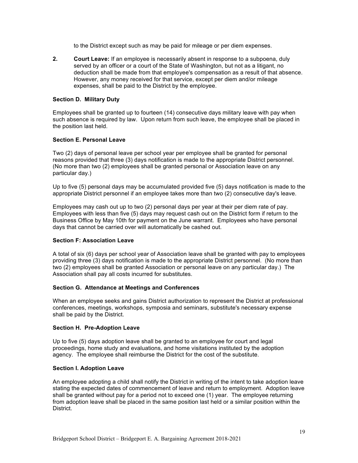to the District except such as may be paid for mileage or per diem expenses.

**2. Court Leave:** If an employee is necessarily absent in response to a subpoena, duly served by an officer or a court of the State of Washington, but not as a litigant, no deduction shall be made from that employee's compensation as a result of that absence. However, any money received for that service, except per diem and/or mileage expenses, shall be paid to the District by the employee.

#### **Section D. Military Duty**

Employees shall be granted up to fourteen (14) consecutive days military leave with pay when such absence is required by law. Upon return from such leave, the employee shall be placed in the position last held.

#### **Section E. Personal Leave**

Two (2) days of personal leave per school year per employee shall be granted for personal reasons provided that three (3) days notification is made to the appropriate District personnel. (No more than two (2) employees shall be granted personal or Association leave on any particular day.)

Up to five (5) personal days may be accumulated provided five (5) days notification is made to the appropriate District personnel if an employee takes more than two (2) consecutive day's leave.

Employees may cash out up to two (2) personal days per year at their per diem rate of pay. Employees with less than five (5) days may request cash out on the District form if return to the Business Office by May 10th for payment on the June warrant. Employees who have personal days that cannot be carried over will automatically be cashed out.

#### **Section F: Association Leave**

A total of six (6) days per school year of Association leave shall be granted with pay to employees providing three (3) days notification is made to the appropriate District personnel. (No more than two (2) employees shall be granted Association or personal leave on any particular day.) The Association shall pay all costs incurred for substitutes.

#### **Section G. Attendance at Meetings and Conferences**

When an employee seeks and gains District authorization to represent the District at professional conferences, meetings, workshops, symposia and seminars, substitute's necessary expense shall be paid by the District.

#### **Section H. Pre-Adoption Leave**

Up to five (5) days adoption leave shall be granted to an employee for court and legal proceedings, home study and evaluations, and home visitations instituted by the adoption agency. The employee shall reimburse the District for the cost of the substitute.

#### **Section I. Adoption Leave**

An employee adopting a child shall notify the District in writing of the intent to take adoption leave stating the expected dates of commencement of leave and return to employment. Adoption leave shall be granted without pay for a period not to exceed one (1) year. The employee returning from adoption leave shall be placed in the same position last held or a similar position within the District.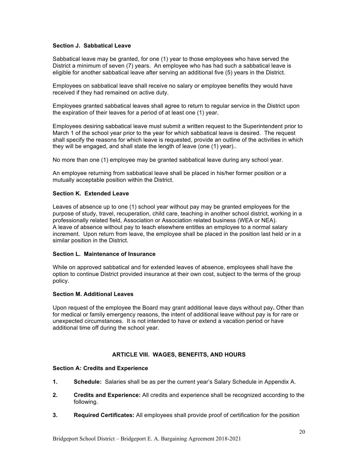### **Section J. Sabbatical Leave**

Sabbatical leave may be granted, for one (1) year to those employees who have served the District a minimum of seven (7) years. An employee who has had such a sabbatical leave is eligible for another sabbatical leave after serving an additional five (5) years in the District.

Employees on sabbatical leave shall receive no salary or employee benefits they would have received if they had remained on active duty.

Employees granted sabbatical leaves shall agree to return to regular service in the District upon the expiration of their leaves for a period of at least one (1) year.

Employees desiring sabbatical leave must submit a written request to the Superintendent prior to March 1 of the school year prior to the year for which sabbatical leave is desired. The request shall specify the reasons for which leave is requested, provide an outline of the activities in which they will be engaged, and shall state the length of leave (one (1) year)..

No more than one (1) employee may be granted sabbatical leave during any school year.

An employee returning from sabbatical leave shall be placed in his/her former position or a mutually acceptable position within the District.

#### **Section K. Extended Leave**

Leaves of absence up to one (1) school year without pay may be granted employees for the purpose of study, travel, recuperation, child care, teaching in another school district, working in a professionally related field, Association or Association related business (WEA or NEA). A leave of absence without pay to teach elsewhere entitles an employee to a normal salary increment. Upon return from leave, the employee shall be placed in the position last held or in a similar position in the District.

### **Section L. Maintenance of Insurance**

While on approved sabbatical and for extended leaves of absence, employees shall have the option to continue District provided insurance at their own cost, subject to the terms of the group policy.

#### **Section M. Additional Leaves**

Upon request of the employee the Board may grant additional leave days without pay**.** Other than for medical or family emergency reasons, the intent of additional leave without pay is for rare or unexpected circumstances. It is not intended to have or extend a vacation period or have additional time off during the school year.

#### **ARTICLE VIII. WAGES, BENEFITS, AND HOURS**

#### **Section A: Credits and Experience**

- **1. Schedule:** Salaries shall be as per the current year's Salary Schedule in Appendix A.
- **2. Credits and Experience:** All credits and experience shall be recognized according to the following.
- **3. Required Certificates:** All employees shall provide proof of certification for the position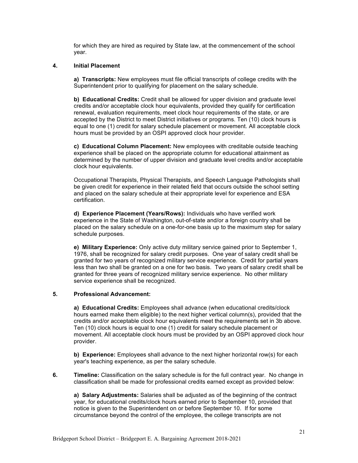for which they are hired as required by State law, at the commencement of the school year.

#### **4. Initial Placement**

**a) Transcripts:** New employees must file official transcripts of college credits with the Superintendent prior to qualifying for placement on the salary schedule.

**b) Educational Credits:** Credit shall be allowed for upper division and graduate level credits and/or acceptable clock hour equivalents, provided they qualify for certification renewal, evaluation requirements, meet clock hour requirements of the state, or are accepted by the District to meet District initiatives or programs. Ten (10) clock hours is equal to one (1) credit for salary schedule placement or movement. All acceptable clock hours must be provided by an OSPI approved clock hour provider.

**c) Educational Column Placement:** New employees with creditable outside teaching experience shall be placed on the appropriate column for educational attainment as determined by the number of upper division and graduate level credits and/or acceptable clock hour equivalents.

Occupational Therapists, Physical Therapists, and Speech Language Pathologists shall be given credit for experience in their related field that occurs outside the school setting and placed on the salary schedule at their appropriate level for experience and ESA certification.

**d) Experience Placement (Years/Rows):** Individuals who have verified work experience in the State of Washington, out-of-state and/or a foreign country shall be placed on the salary schedule on a one-for-one basis up to the maximum step for salary schedule purposes.

**e) Military Experience:** Only active duty military service gained prior to September 1, 1976, shall be recognized for salary credit purposes. One year of salary credit shall be granted for two years of recognized military service experience. Credit for partial years less than two shall be granted on a one for two basis. Two years of salary credit shall be granted for three years of recognized military service experience. No other military service experience shall be recognized.

#### **5. Professional Advancement:**

**a) Educational Credits:** Employees shall advance (when educational credits/clock hours earned make them eligible) to the next higher vertical column(s), provided that the credits and/or acceptable clock hour equivalents meet the requirements set in 3b above. Ten (10) clock hours is equal to one (1) credit for salary schedule placement or movement. All acceptable clock hours must be provided by an OSPI approved clock hour provider.

**b) Experience:** Employees shall advance to the next higher horizontal row(s) for each year's teaching experience, as per the salary schedule.

**6. Timeline:** Classification on the salary schedule is for the full contract year. No change in classification shall be made for professional credits earned except as provided below:

 **a) Salary Adjustments:** Salaries shall be adjusted as of the beginning of the contract year, for educational credits/clock hours earned prior to September 10, provided that notice is given to the Superintendent on or before September 10. If for some circumstance beyond the control of the employee, the college transcripts are not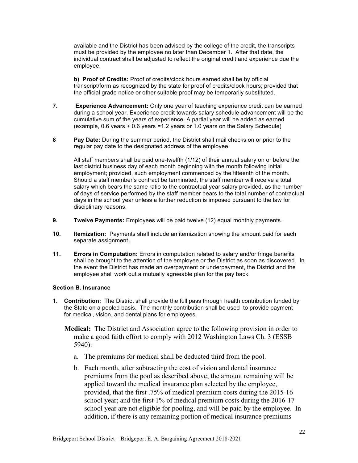available and the District has been advised by the college of the credit, the transcripts must be provided by the employee no later than December 1. After that date, the individual contract shall be adjusted to reflect the original credit and experience due the employee.

**b) Proof of Credits:** Proof of credits/clock hours earned shall be by official transcript/form as recognized by the state for proof of credits/clock hours; provided that the official grade notice or other suitable proof may be temporarily substituted.

- **7. Experience Advancement:** Only one year of teaching experience credit can be earned during a school year. Experience credit towards salary schedule advancement will be the cumulative sum of the years of experience. A partial year will be added as earned (example, 0.6 years  $+$  0.6 years = 1.2 years or 1.0 years on the Salary Schedule)
- **8 Pay Date:** During the summer period, the District shall mail checks on or prior to the regular pay date to the designated address of the employee.

All staff members shall be paid one-twelfth (1/12) of their annual salary on or before the last district business day of each month beginning with the month following initial employment; provided, such employment commenced by the fifteenth of the month. Should a staff member's contract be terminated, the staff member will receive a total salary which bears the same ratio to the contractual year salary provided, as the number of days of service performed by the staff member bears to the total number of contractual days in the school year unless a further reduction is imposed pursuant to the law for disciplinary reasons.

- **9. Twelve Payments:** Employees will be paid twelve (12) equal monthly payments.
- **10. Itemization:** Payments shall include an itemization showing the amount paid for each separate assignment.
- **11. Errors in Computation:** Errors in computation related to salary and/or fringe benefits shall be brought to the attention of the employee or the District as soon as discovered. In the event the District has made an overpayment or underpayment, the District and the employee shall work out a mutually agreeable plan for the pay back.

#### **Section B. Insurance**

- **1. Contribution:** The District shall provide the full pass through health contribution funded by the State on a pooled basis. The monthly contribution shall be used to provide payment for medical, vision, and dental plans for employees.
	- **Medical:** The District and Association agree to the following provision in order to make a good faith effort to comply with 2012 Washington Laws Ch. 3 (ESSB 5940):
		- a. The premiums for medical shall be deducted third from the pool.
		- b. Each month, after subtracting the cost of vision and dental insurance premiums from the pool as described above; the amount remaining will be applied toward the medical insurance plan selected by the employee, provided, that the first .75% of medical premium costs during the 2015-16 school year; and the first 1% of medical premium costs during the 2016-17 school year are not eligible for pooling, and will be paid by the employee. In addition, if there is any remaining portion of medical insurance premiums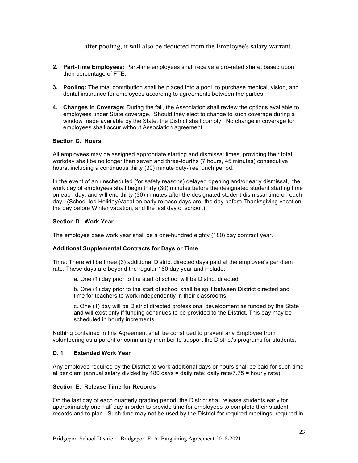after pooling, it will also be deducted from the Employee's salary warrant.

- **2. Part-Time Employees:** Part-time employees shall receive a pro-rated share, based upon their percentage of FTE.
- **3. Pooling:** The total contribution shall be placed into a pool, to purchase medical, vision, and dental insurance for employees according to agreements between the parties.
- **4. Changes in Coverage:** During the fall, the Association shall review the options available to employees under State coverage. Should they elect to change to such coverage during a window made available by the State, the District shall comply. No change in coverage for employees shall occur without Association agreement.

#### **Section C. Hours**

All employees may be assigned appropriate starting and dismissal times, providing their total workday shall be no longer than seven and three-fourths (7 hours, 45 minutes) consecutive hours, including a continuous thirty (30) minute duty-free lunch period.

In the event of an unscheduled (for safety reasons) delayed opening and/or early dismissal, the work day of employees shall begin thirty (30) minutes before the designated student starting time on each day, and will end thirty (30) minutes after the designated student dismissal time on each day. (Scheduled Holiday/Vacation early release days are: the day before Thanksgiving vacation, the day before Winter vacation, and the last day of school.)

#### **Section D. Work Year**

The employee base work year shall be a one-hundred eighty (180) day contract year.

#### **Additional Supplemental Contracts for Days or Time**

Time: There will be three (3) additional District directed days paid at the employee's per diem rate. These days are beyond the regular 180 day year and include:

a. One (1) day prior to the start of school will be District directed.

b. One (1) day prior to the start of school shall be split between District directed and time for teachers to work independently in their classrooms.

c. One (1) day will be District directed professional development as funded by the State and will exist only if funding continues to be provided to the District. This day may be scheduled in hourly increments.

Nothing contained in this Agreement shall be construed to prevent any Employee from volunteering as a parent or community member to support the District's programs for students.

#### **D. 1 Extended Work Year**

Any employee required by the District to work additional days or hours shall be paid for such time at per diem (annual salary divided by 180 days = daily rate: daily rate/7.75 = hourly rate).

#### **Section E. Release Time for Records**

On the last day of each quarterly grading period, the District shall release students early for approximately one-half day in order to provide time for employees to complete their student records and to plan. Such time may not be used by the District for required meetings, required in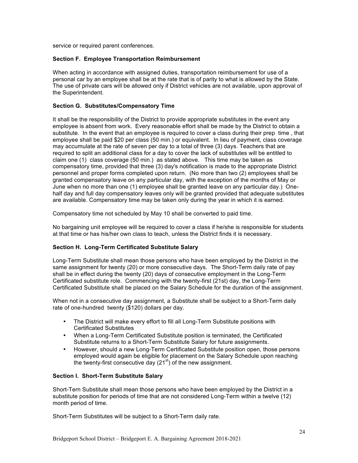service or required parent conferences.

#### **Section F. Employee Transportation Reimbursement**

When acting in accordance with assigned duties, transportation reimbursement for use of a personal car by an employee shall be at the rate that is of parity to what is allowed by the State. The use of private cars will be allowed only if District vehicles are not available, upon approval of the Superintendent.

#### **Section G. Substitutes/Compensatory Time**

It shall be the responsibility of the District to provide appropriate substitutes in the event any employee is absent from work. Every reasonable effort shall be made by the District to obtain a substitute. In the event that an employee is required to cover a class during their prep time, that employee shall be paid \$20 per class (50 min.) or equivalent. In lieu of payment, class coverage may accumulate at the rate of seven per day to a total of three (3) days. Teachers that are required to split an additional class for a day to cover the lack of substitutes will be entitled to claim one (1) class coverage (50 min.) as stated above. This time may be taken as compensatory time, provided that three (3) day's notification is made to the appropriate District personnel and proper forms completed upon return. (No more than two (2) employees shall be granted compensatory leave on any particular day, with the exception of the months of May or June when no more than one (1) employee shall be granted leave on any particular day.) Onehalf day and full day compensatory leaves only will be granted provided that adequate substitutes are available. Compensatory time may be taken only during the year in which it is earned.

Compensatory time not scheduled by May 10 shall be converted to paid time.

No bargaining unit employee will be required to cover a class if he/she is responsible for students at that time or has his/her own class to teach, unless the District finds it is necessary.

#### **Section H. Long-Term Certificated Substitute Salary**

Long-Term Substitute shall mean those persons who have been employed by the District in the same assignment for twenty (20) or more consecutive days. The Short-Term daily rate of pay shall be in effect during the twenty (20) days of consecutive employment in the Long-Term Certificated substitute role. Commencing with the twenty-first (21st) day, the Long-Term Certificated Substitute shall be placed on the Salary Schedule for the duration of the assignment.

When not in a consecutive day assignment, a Substitute shall be subject to a Short-Term daily rate of one-hundred twenty (\$120) dollars per day.

- The District will make every effort to fill all Long-Term Substitute positions with Certificated Substitutes
- When a Long-Term Certificated Substitute position is terminated, the Certificated Substitute returns to a Short-Term Substitute Salary for future assignments.
- However, should a new Long-Term Certificated Substitute position open, those persons employed would again be eligible for placement on the Salary Schedule upon reaching the twenty-first consecutive day  $(21<sup>st</sup>)$  of the new assignment.

#### **Section I. Short-Term Substitute Salary**

Short-Tern Substitute shall mean those persons who have been employed by the District in a substitute position for periods of time that are not considered Long-Term within a twelve (12) month period of time.

Short-Term Substitutes will be subject to a Short-Term daily rate.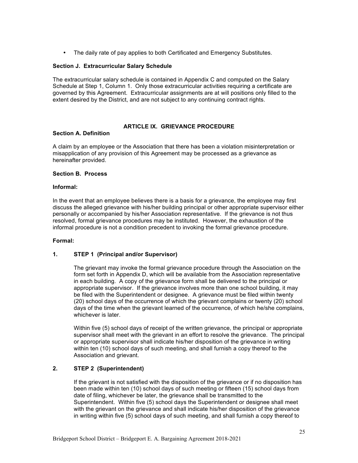• The daily rate of pay applies to both Certificated and Emergency Substitutes.

#### **Section J. Extracurricular Salary Schedule**

The extracurricular salary schedule is contained in Appendix C and computed on the Salary Schedule at Step 1, Column 1. Only those extracurricular activities requiring a certificate are governed by this Agreement. Extracurricular assignments are at will positions only filled to the extent desired by the District, and are not subject to any continuing contract rights.

#### **ARTICLE IX. GRIEVANCE PROCEDURE**

#### **Section A. Definition**

A claim by an employee or the Association that there has been a violation misinterpretation or misapplication of any provision of this Agreement may be processed as a grievance as hereinafter provided.

#### **Section B. Process**

#### **Informal:**

In the event that an employee believes there is a basis for a grievance, the employee may first discuss the alleged grievance with his/her building principal or other appropriate supervisor either personally or accompanied by his/her Association representative. If the grievance is not thus resolved, formal grievance procedures may be instituted. However, the exhaustion of the informal procedure is not a condition precedent to invoking the formal grievance procedure.

#### **Formal:**

#### **1. STEP 1 (Principal and/or Supervisor)**

The grievant may invoke the formal grievance procedure through the Association on the form set forth in Appendix D, which will be available from the Association representative in each building. A copy of the grievance form shall be delivered to the principal or appropriate supervisor. If the grievance involves more than one school building, it may be filed with the Superintendent or designee. A grievance must be filed within twenty (20) school days of the occurrence of which the grievant complains or twenty (20) school days of the time when the grievant learned of the occurrence, of which he/she complains, whichever is later.

Within five (5) school days of receipt of the written grievance, the principal or appropriate supervisor shall meet with the grievant in an effort to resolve the grievance. The principal or appropriate supervisor shall indicate his/her disposition of the grievance in writing within ten (10) school days of such meeting, and shall furnish a copy thereof to the Association and grievant.

### **2. STEP 2 (Superintendent)**

If the grievant is not satisfied with the disposition of the grievance or if no disposition has been made within ten (10) school days of such meeting or fifteen (15) school days from date of filing, whichever be later, the grievance shall be transmitted to the Superintendent. Within five (5) school days the Superintendent or designee shall meet with the grievant on the grievance and shall indicate his/her disposition of the grievance in writing within five (5) school days of such meeting, and shall furnish a copy thereof to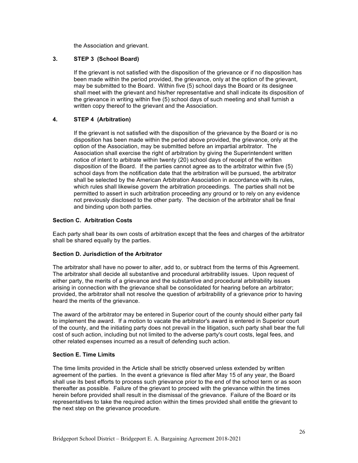the Association and grievant.

### **3. STEP 3 (School Board)**

If the grievant is not satisfied with the disposition of the grievance or if no disposition has been made within the period provided, the grievance, only at the option of the grievant, may be submitted to the Board. Within five (5) school days the Board or its designee shall meet with the grievant and his/her representative and shall indicate its disposition of the grievance in writing within five (5) school days of such meeting and shall furnish a written copy thereof to the grievant and the Association.

### **4. STEP 4 (Arbitration)**

If the grievant is not satisfied with the disposition of the grievance by the Board or is no disposition has been made within the period above provided, the grievance, only at the option of the Association, may be submitted before an impartial arbitrator. The Association shall exercise the right of arbitration by giving the Superintendent written notice of intent to arbitrate within twenty (20) school days of receipt of the written disposition of the Board. If the parties cannot agree as to the arbitrator within five (5) school days from the notification date that the arbitration will be pursued, the arbitrator shall be selected by the American Arbitration Association in accordance with its rules, which rules shall likewise govern the arbitration proceedings. The parties shall not be permitted to assert in such arbitration proceeding any ground or to rely on any evidence not previously disclosed to the other party. The decision of the arbitrator shall be final and binding upon both parties.

#### **Section C. Arbitration Costs**

Each party shall bear its own costs of arbitration except that the fees and charges of the arbitrator shall be shared equally by the parties.

#### **Section D. Jurisdiction of the Arbitrator**

The arbitrator shall have no power to alter, add to, or subtract from the terms of this Agreement. The arbitrator shall decide all substantive and procedural arbitrability issues. Upon request of either party, the merits of a grievance and the substantive and procedural arbitrability issues arising in connection with the grievance shall be consolidated for hearing before an arbitrator; provided, the arbitrator shall not resolve the question of arbitrability of a grievance prior to having heard the merits of the grievance.

The award of the arbitrator may be entered in Superior court of the county should either party fail to implement the award. If a motion to vacate the arbitrator's award is entered in Superior court of the county, and the initiating party does not prevail in the litigation, such party shall bear the full cost of such action, including but not limited to the adverse party's court costs, legal fees, and other related expenses incurred as a result of defending such action.

#### **Section E. Time Limits**

The time limits provided in the Article shall be strictly observed unless extended by written agreement of the parties. In the event a grievance is filed after May 15 of any year, the Board shall use its best efforts to process such grievance prior to the end of the school term or as soon thereafter as possible. Failure of the grievant to proceed with the grievance within the times herein before provided shall result in the dismissal of the grievance. Failure of the Board or its representatives to take the required action within the times provided shall entitle the grievant to the next step on the grievance procedure.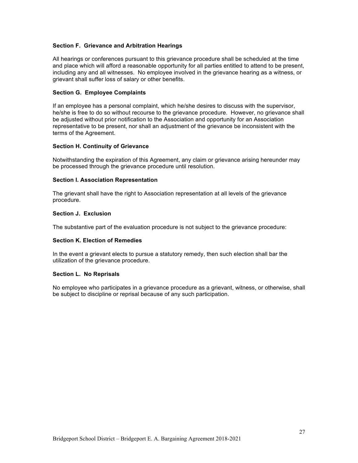#### **Section F. Grievance and Arbitration Hearings**

All hearings or conferences pursuant to this grievance procedure shall be scheduled at the time and place which will afford a reasonable opportunity for all parties entitled to attend to be present, including any and all witnesses. No employee involved in the grievance hearing as a witness, or grievant shall suffer loss of salary or other benefits.

#### **Section G. Employee Complaints**

If an employee has a personal complaint, which he/she desires to discuss with the supervisor, he/she is free to do so without recourse to the grievance procedure. However, no grievance shall be adjusted without prior notification to the Association and opportunity for an Association representative to be present, nor shall an adjustment of the grievance be inconsistent with the terms of the Agreement.

#### **Section H. Continuity of Grievance**

Notwithstanding the expiration of this Agreement, any claim or grievance arising hereunder may be processed through the grievance procedure until resolution.

#### **Section I. Association Representation**

The grievant shall have the right to Association representation at all levels of the grievance procedure.

#### **Section J. Exclusion**

The substantive part of the evaluation procedure is not subject to the grievance procedure:

#### **Section K. Election of Remedies**

In the event a grievant elects to pursue a statutory remedy, then such election shall bar the utilization of the grievance procedure.

#### **Section L. No Reprisals**

No employee who participates in a grievance procedure as a grievant, witness, or otherwise, shall be subject to discipline or reprisal because of any such participation.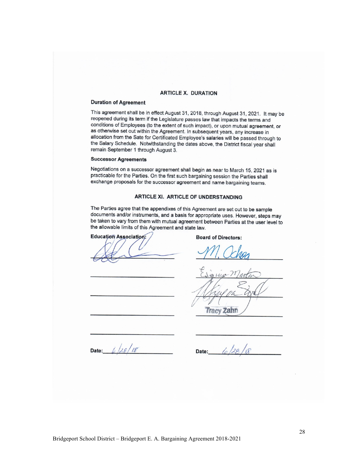#### **ARTICLE X. DURATION**

#### **Duration of Agreement**

This agreement shall be in effect August 31, 2018, through August 31, 2021. It may be reopened during its term if the Legislature passes law that impacts the terms and conditions of Employees (to the extent of such impact), or upon mutual agreement, or as otherwise set out within the Agreement. In subsequent years, any increase in allocation from the Sate for Certificated Employee's salaries will be passed through to the Salary Schedule. Notwithstanding the dates above, the District fiscal year shall remain September 1 through August 3.

#### **Successor Agreements**

Negotiations on a successor agreement shall begin as near to March 15, 2021 as is practicable for the Parties. On the first such bargaining session the Parties shall exchange proposals for the successor agreement and name bargaining teams.

#### ARTICLE XI. ARTICLE OF UNDERSTANDING

The Parties agree that the appendixes of this Agreement are set out to be sample documents and/or instruments, and a basis for appropriate uses. However, steps may be taken to vary from them with mutual agreement between Parties at the user level to the allowable limits of this Agreement and state law.

**Education Association:** 

**Board of Directors:** 

**Tracy Zahn** 

Date:  $6/28/18$ 

 $128$ Date: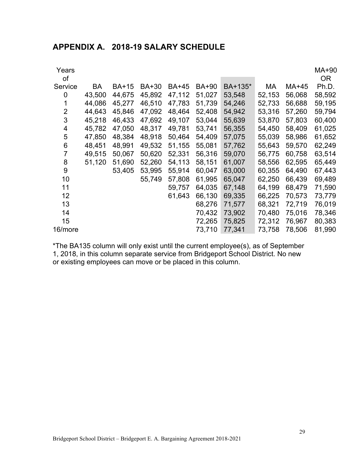| Years<br>οf |        |              |              |              |              |         |        |        | MA+90<br>OR. |
|-------------|--------|--------------|--------------|--------------|--------------|---------|--------|--------|--------------|
| Service     | BA     | <b>BA+15</b> | <b>BA+30</b> | <b>BA+45</b> | <b>BA+90</b> | BA+135* | МA     | MA+45  | Ph.D.        |
| 0           | 43,500 | 44,675       | 45,892       | 47,112       | 51,027       | 53,548  | 52,153 | 56,068 | 58,592       |
|             | 44,086 | 45,277       | 46,510       | 47,783       | 51,739       | 54,246  | 52,733 | 56,688 | 59,195       |
| 2           | 44,643 | 45,846       | 47,092       | 48,464       | 52,408       | 54,942  | 53,316 | 57,260 | 59,794       |
| 3           | 45,218 | 46,433       | 47,692       | 49,107       | 53,044       | 55,639  | 53,870 | 57,803 | 60,400       |
| 4           | 45,782 | 47,050       | 48,317       | 49,781       | 53,741       | 56,355  | 54,450 | 58,409 | 61,025       |
| 5           | 47,850 | 48,384       | 48,918       | 50,464       | 54,409       | 57,075  | 55,039 | 58,986 | 61,652       |
| 6           | 48,451 | 48,991       | 49,532       | 51,155       | 55,081       | 57,762  | 55,643 | 59,570 | 62,249       |
| 7           | 49,515 | 50,067       | 50,620       | 52,331       | 56,316       | 59,070  | 56,775 | 60,758 | 63,514       |
| 8           | 51,120 | 51,690       | 52,260       | 54,113       | 58,151       | 61,007  | 58,556 | 62,595 | 65,449       |
| 9           |        | 53,405       | 53,995       | 55,914       | 60,047       | 63,000  | 60,355 | 64,490 | 67,443       |
| 10          |        |              | 55,749       | 57,808       | 61,995       | 65,047  | 62,250 | 66,439 | 69,489       |
| 11          |        |              |              | 59,757       | 64,035       | 67,148  | 64,199 | 68,479 | 71,590       |
| 12          |        |              |              | 61,643       | 66,130       | 69,335  | 66,225 | 70,573 | 73,779       |
| 13          |        |              |              |              | 68,276       | 71,577  | 68,321 | 72,719 | 76,019       |
| 14          |        |              |              |              | 70,432       | 73,902  | 70,480 | 75,016 | 78,346       |
| 15          |        |              |              |              | 72,265       | 75,825  | 72,312 | 76,967 | 80,383       |
| 16/more     |        |              |              |              | 73,710       | 77,341  | 73,758 | 78,506 | 81,990       |

\*The BA135 column will only exist until the current employee(s), as of September 1, 2018, in this column separate service from Bridgeport School District. No new or existing employees can move or be placed in this column.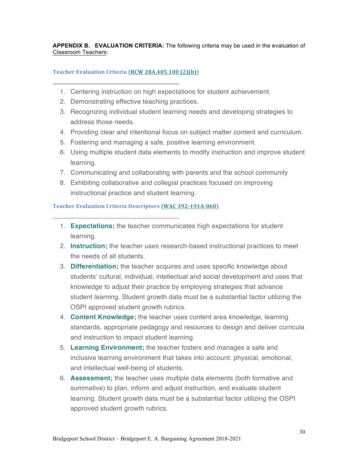**APPENDIX B. EVALUATION CRITERIA:** The following criteria may be used in the evaluation of Classroom Teachers:

# **Teacher Evaluation Criteria (RCW 28A.405.100 (2)(b))**

- 1. Centering instruction on high expectations for student achievement.
- 2. Demonstrating effective teaching practices.
- 3. Recognizing individual student learning needs and developing strategies to address those needs.
- 4. Providing clear and intentional focus on subject matter content and curriculum.
- 5. Fostering and managing a safe, positive learning environment.
- 6. Using multiple student data elements to modify instruction and improve student learning.
- 7. Communicating and collaborating with parents and the school community
- 8. Exhibiting collaborative and collegial practices focused on improving instructional practice and student learning.

# **Teacher Evaluation Criteria Descriptors (WAC 392-191A-060)**

- 1. **Expectations;** the teacher communicates high expectations for student learning.
- 2. **Instruction;** the teacher uses research-based instructional practices to meet the needs of all students.
- 3. **Differentiation;** the teacher acquires and uses specific knowledge about students' cultural, individual, intellectual and social development and uses that knowledge to adjust their practice by employing strategies that advance student learning. Student growth data must be a substantial factor utilizing the OSPI approved student growth rubrics.
- 4. **Content Knowledge;** the teacher uses content area knowledge, learning standards, appropriate pedagogy and resources to design and deliver curricula and instruction to impact student learning.
- 5. **Learning Environment;** the teacher fosters and manages a safe and inclusive learning environment that takes into account: physical, emotional, and intellectual well-being of students.
- 6. **Assessment;** the teacher uses multiple data elements (both formative and summative) to plan, inform and adjust instruction, and evaluate student learning. Student growth data must be a substantial factor utilizing the OSPI approved student growth rubrics.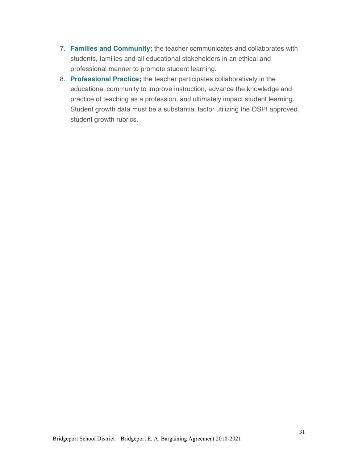- 7. **Families and Community;** the teacher communicates and collaborates with students, families and all educational stakeholders in an ethical and professional manner to promote student learning.
- 8. **Professional Practice;** the teacher participates collaboratively in the educational community to improve instruction, advance the knowledge and practice of teaching as a profession, and ultimately impact student learning. Student growth data must be a substantial factor utilizing the OSPI approved student growth rubrics.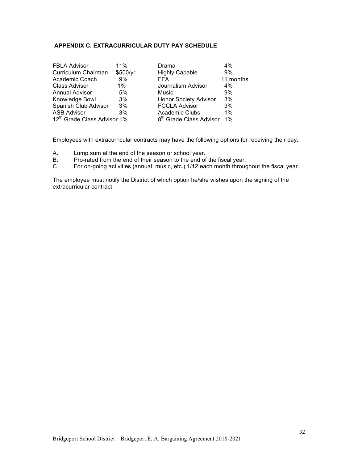# **APPENDIX C. EXTRACURRICULAR DUTY PAY SCHEDULE**

| <b>FBLA Advisor</b>                     | 11%      | Drama                               | $4\%$     |
|-----------------------------------------|----------|-------------------------------------|-----------|
| Curriculum Chairman                     | \$500/yr | <b>Highly Capable</b>               | 9%        |
| Academic Coach                          | 9%       | <b>FFA</b>                          | 11 months |
| <b>Class Advisor</b>                    | $1\%$    | Journalism Advisor                  | $4\%$     |
| <b>Annual Advisor</b>                   | 5%       | Music                               | 9%        |
| Knowledge Bowl                          | 3%       | <b>Honor Society Advisor</b>        | 3%        |
| Spanish Club Advisor                    | 3%       | <b>FCCLA Advisor</b>                | 3%        |
| <b>ASB Advisor</b>                      | 3%       | <b>Academic Clubs</b>               | $1\%$     |
| 12 <sup>th</sup> Grade Class Advisor 1% |          | 8 <sup>th</sup> Grade Class Advisor | 1%        |

Employees with extracurricular contracts may have the following options for receiving their pay:

- A. Lump sum at the end of the season or school year.
- B. Pro-rated from the end of their season to the end of the fiscal year.<br>C. For on-going activities (annual, music, etc.) 1/12 each month throug
- For on-going activities (annual, music, etc.) 1/12 each month throughout the fiscal year.

The employee must notify the District of which option he/she wishes upon the signing of the extracurricular contract.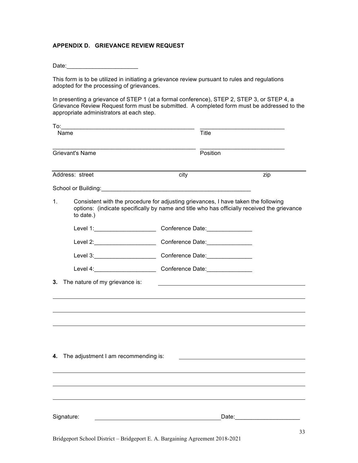# **APPENDIX D. GRIEVANCE REVIEW REQUEST**

| Date: |  |  |  |  |  |  |
|-------|--|--|--|--|--|--|
|       |  |  |  |  |  |  |

This form is to be utilized in initiating a grievance review pursuant to rules and regulations adopted for the processing of grievances.

In presenting a grievance of STEP 1 (at a formal conference), STEP 2, STEP 3, or STEP 4, a Grievance Review Request form must be submitted. A completed form must be addressed to the appropriate administrators at each step.

| To: |                                                                                                                                                                                                |      |                                                                                                                      |                                                                                                                |  |  |  |
|-----|------------------------------------------------------------------------------------------------------------------------------------------------------------------------------------------------|------|----------------------------------------------------------------------------------------------------------------------|----------------------------------------------------------------------------------------------------------------|--|--|--|
|     | Name                                                                                                                                                                                           |      | <b>Title</b>                                                                                                         |                                                                                                                |  |  |  |
|     | <b>Grievant's Name</b>                                                                                                                                                                         |      | Position                                                                                                             |                                                                                                                |  |  |  |
|     | Address: street                                                                                                                                                                                | city |                                                                                                                      | zip                                                                                                            |  |  |  |
|     |                                                                                                                                                                                                |      |                                                                                                                      |                                                                                                                |  |  |  |
| 1.  | Consistent with the procedure for adjusting grievances, I have taken the following<br>options: (indicate specifically by name and title who has officially received the grievance<br>to date.) |      |                                                                                                                      |                                                                                                                |  |  |  |
|     | Level 1: Conference Date: Conference Date:                                                                                                                                                     |      |                                                                                                                      |                                                                                                                |  |  |  |
|     | Level 2: Conference Date:                                                                                                                                                                      |      |                                                                                                                      |                                                                                                                |  |  |  |
|     | Level 3: Conference Date: Conference Date:                                                                                                                                                     |      |                                                                                                                      |                                                                                                                |  |  |  |
|     | Level 4: Conference Date:                                                                                                                                                                      |      |                                                                                                                      |                                                                                                                |  |  |  |
| 3.  | The nature of my grievance is:                                                                                                                                                                 |      | <u> 1990 - Johann Barbara, martin amerikan basal dan berasal dan berasal dalam basal dan berasal dan berasal dan</u> |                                                                                                                |  |  |  |
|     |                                                                                                                                                                                                |      |                                                                                                                      |                                                                                                                |  |  |  |
|     |                                                                                                                                                                                                |      |                                                                                                                      |                                                                                                                |  |  |  |
|     |                                                                                                                                                                                                |      |                                                                                                                      |                                                                                                                |  |  |  |
|     |                                                                                                                                                                                                |      |                                                                                                                      |                                                                                                                |  |  |  |
|     | 4. The adjustment I am recommending is:                                                                                                                                                        |      |                                                                                                                      |                                                                                                                |  |  |  |
|     |                                                                                                                                                                                                |      |                                                                                                                      |                                                                                                                |  |  |  |
|     |                                                                                                                                                                                                |      |                                                                                                                      |                                                                                                                |  |  |  |
|     |                                                                                                                                                                                                |      |                                                                                                                      |                                                                                                                |  |  |  |
|     | Signature:                                                                                                                                                                                     |      |                                                                                                                      | Date: and the state of the state of the state of the state of the state of the state of the state of the state |  |  |  |
|     |                                                                                                                                                                                                |      |                                                                                                                      | 22                                                                                                             |  |  |  |